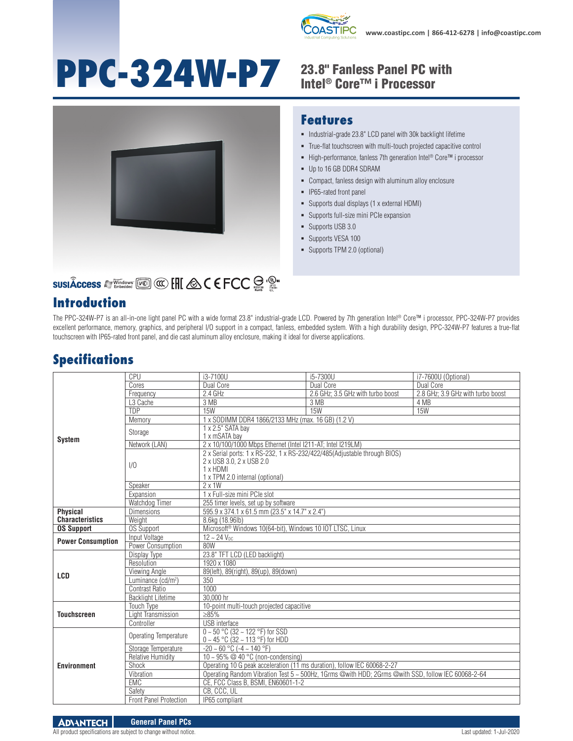

# PPC-324W-P7 23.8" Fanless Panel PC with



#### **Features**

- $\blacksquare$  Industrial-grade 23.8" LCD panel with 30k backlight lifetime
- True-flat touchscreen with multi-touch projected capacitive control
- High-performance, fanless 7th generation Intel<sup>®</sup> Core™ i processor
- Up to 16 GB DDR4 SDRAM
- Compact, fanless design with aluminum alloy enclosure
- **IP65-rated front panel**
- Supports dual displays (1 x external HDMI)
- Supports full-size mini PCIe expansion
- Supports USB 3.0
- Supports VESA 100
- Supports TPM 2.0 (optional)

### **SUSIÂCCESS A Windows [Kell] @ [HI & C E FCC SE : 2019**

#### **Introduction**

The PPC-324W-P7 is an all-in-one light panel PC with a wide format 23.8" industrial-grade LCD. Powered by 7th generation Intel® Core™ i processor, PPC-324W-P7 provides excellent performance, memory, graphics, and peripheral I/O support in a compact, fanless, embedded system. With a high durability design, PPC-324W-P7 features a true-flat touchscreen with IP65-rated front panel, and die cast aluminum alloy enclosure, making it ideal for diverse applications.

#### **Specifications**

|                          | CPU                            | i3-7100U                                                                                                                                             | i5-7300U                          | i7-7600U (Optional)               |  |
|--------------------------|--------------------------------|------------------------------------------------------------------------------------------------------------------------------------------------------|-----------------------------------|-----------------------------------|--|
|                          | Cores                          | Dual Core                                                                                                                                            | Dual Core                         | Dual Core                         |  |
|                          | Frequency                      | 2.4 GHz                                                                                                                                              | 2.6 GHz; 3.5 GHz with turbo boost | 2.8 GHz; 3.9 GHz with turbo boost |  |
|                          | L <sub>3</sub> Cache           | 3 MB                                                                                                                                                 | 3 MB                              | 4 MB                              |  |
|                          | <b>TDP</b>                     | 15W                                                                                                                                                  | 15W                               | 15W                               |  |
|                          | Memory                         | 1 x SODIMM DDR4 1866/2133 MHz (max. 16 GB) (1.2 V)                                                                                                   |                                   |                                   |  |
| <b>System</b>            | Storage                        | 1 x 2.5" SATA bay<br>1 x mSATA bay                                                                                                                   |                                   |                                   |  |
|                          | Network (LAN)                  | 2 x 10/100/1000 Mbps Ethernet (Intel I211-AT; Intel I219LM)                                                                                          |                                   |                                   |  |
|                          | 1/0                            | 2 x Serial ports: 1 x RS-232, 1 x RS-232/422/485(Adjustable through BIOS)<br>2 x USB 3.0, 2 x USB 2.0<br>1 x HDMI<br>1 x TPM 2.0 internal (optional) |                                   |                                   |  |
|                          | Speaker                        | $2 \times 1W$                                                                                                                                        |                                   |                                   |  |
|                          | Expansion                      | 1 x Full-size mini PCIe slot                                                                                                                         |                                   |                                   |  |
|                          | Watchdog Timer                 | 255 timer levels, set up by software                                                                                                                 |                                   |                                   |  |
| <b>Physical</b>          | <b>Dimensions</b>              | 595.9 x 374.1 x 61.5 mm (23.5" x 14.7" x 2.4")                                                                                                       |                                   |                                   |  |
| <b>Characteristics</b>   | Weight                         | 8.6kg (18.96lb)                                                                                                                                      |                                   |                                   |  |
| <b>OS Support</b>        | <b>OS Support</b>              | Microsoft <sup>®</sup> Windows 10(64-bit), Windows 10 IOT LTSC, Linux                                                                                |                                   |                                   |  |
| <b>Power Consumption</b> | Input Voltage                  | $12 - 24$ V <sub>nc</sub>                                                                                                                            |                                   |                                   |  |
|                          | Power Consumption              | 80W                                                                                                                                                  |                                   |                                   |  |
|                          | Display Type                   | 23.8" TFT LCD (LED backlight)                                                                                                                        |                                   |                                   |  |
|                          | Resolution                     | 1920 x 1080                                                                                                                                          |                                   |                                   |  |
| LCD                      | Viewing Angle                  | 89(left), 89(right), 89(up), 89(down)                                                                                                                |                                   |                                   |  |
|                          | Luminance (cd/m <sup>2</sup> ) | 350                                                                                                                                                  |                                   |                                   |  |
|                          | Contrast Ratio                 | 1000                                                                                                                                                 |                                   |                                   |  |
|                          | <b>Backlight Lifetime</b>      | 30.000 hr                                                                                                                                            |                                   |                                   |  |
| <b>Touchscreen</b>       | <b>Touch Type</b>              | 10-point multi-touch projected capacitive                                                                                                            |                                   |                                   |  |
|                          | Light Transmission             | $\geq 85\%$                                                                                                                                          |                                   |                                   |  |
|                          | Controller                     | <b>USB</b> interface                                                                                                                                 |                                   |                                   |  |
|                          | Operating Temperature          | $0 \sim 50$ °C (32 ~ 122 °F) for SSD<br>$0 \sim 45$ °C (32 ~ 113 °F) for HDD                                                                         |                                   |                                   |  |
|                          | Storage Temperature            | $-20 - 60$ °C ( $-4 - 140$ °F)                                                                                                                       |                                   |                                   |  |
| <b>Environment</b>       | <b>Relative Humidity</b>       | 10 ~ 95% @ 40 °C (non-condensing)                                                                                                                    |                                   |                                   |  |
|                          | Shock                          | Operating 10 G peak acceleration (11 ms duration), follow IEC 60068-2-27                                                                             |                                   |                                   |  |
|                          | Vibration                      | Operating Random Vibration Test 5 ~ 500Hz, 1Grms @with HDD; 2Grms @with SSD, follow IEC 60068-2-64                                                   |                                   |                                   |  |
|                          | EMC                            | CE, FCC Class B, BSMI, EN60601-1-2                                                                                                                   |                                   |                                   |  |
|                          | Safety                         | CB. CCC. UL                                                                                                                                          |                                   |                                   |  |
|                          | <b>Front Panel Protection</b>  | IP65 compliant                                                                                                                                       |                                   |                                   |  |